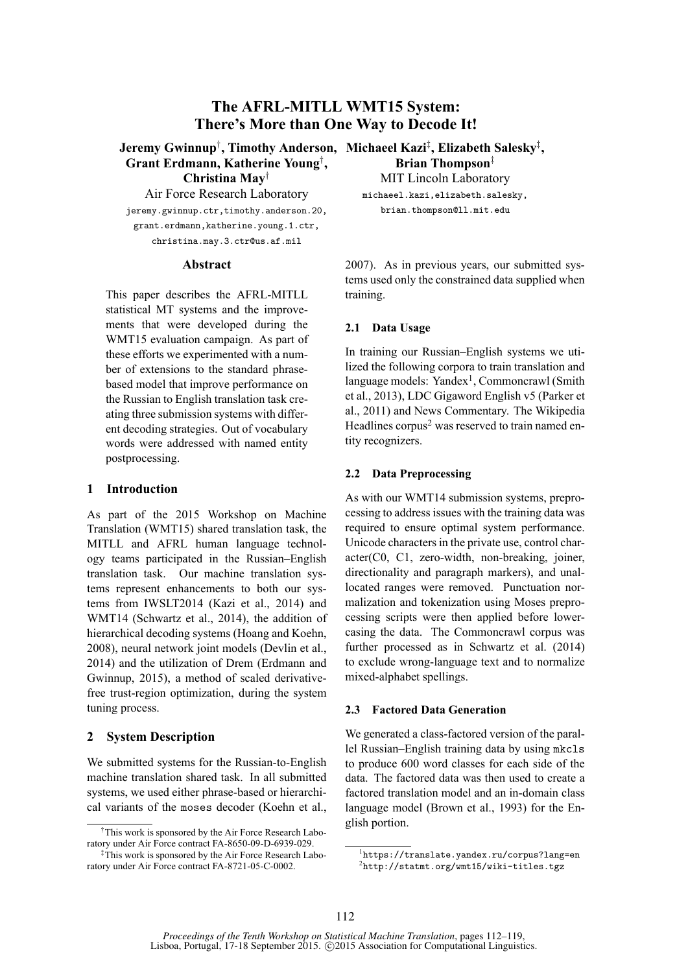# **The AFRL-MITLL WMT15 System: There's More than One Way to Decode It!**

**Grant Erdmann, Katherine Young**† **, Christina May**†

Air Force Research Laboratory jeremy.gwinnup.ctr,timothy.anderson.20, grant.erdmann,katherine.young.1.ctr, christina.may.3.ctr@us.af.mil

#### **Abstract**

This paper describes the AFRL-MITLL statistical MT systems and the improvements that were developed during the WMT15 evaluation campaign. As part of these efforts we experimented with a number of extensions to the standard phrasebased model that improve performance on the Russian to English translation task creating three submission systems with different decoding strategies. Out of vocabulary words were addressed with named entity postprocessing.

#### **1 Introduction**

As part of the 2015 Workshop on Machine Translation (WMT15) shared translation task, the MITLL and AFRL human language technology teams participated in the Russian–English translation task. Our machine translation systems represent enhancements to both our systems from IWSLT2014 (Kazi et al., 2014) and WMT14 (Schwartz et al., 2014), the addition of hierarchical decoding systems (Hoang and Koehn, 2008), neural network joint models (Devlin et al., 2014) and the utilization of Drem (Erdmann and Gwinnup, 2015), a method of scaled derivativefree trust-region optimization, during the system tuning process.

#### **2 System Description**

We submitted systems for the Russian-to-English machine translation shared task. In all submitted systems, we used either phrase-based or hierarchical variants of the moses decoder (Koehn et al.,

**Jeremy Gwinnup**† **, Timothy Anderson, Michaeel Kazi**‡ **, Elizabeth Salesky**‡ **, Brian Thompson**‡

MIT Lincoln Laboratory michaeel.kazi,elizabeth.salesky,

brian.thompson@ll.mit.edu

2007). As in previous years, our submitted systems used only the constrained data supplied when training.

### **2.1 Data Usage**

In training our Russian–English systems we utilized the following corpora to train translation and language models: Yandex<sup>1</sup>, Commoncrawl (Smith et al., 2013), LDC Gigaword English v5 (Parker et al., 2011) and News Commentary. The Wikipedia Headlines corpus<sup>2</sup> was reserved to train named entity recognizers.

#### **2.2 Data Preprocessing**

As with our WMT14 submission systems, preprocessing to address issues with the training data was required to ensure optimal system performance. Unicode characters in the private use, control character(C0, C1, zero-width, non-breaking, joiner, directionality and paragraph markers), and unallocated ranges were removed. Punctuation normalization and tokenization using Moses preprocessing scripts were then applied before lowercasing the data. The Commoncrawl corpus was further processed as in Schwartz et al. (2014) to exclude wrong-language text and to normalize mixed-alphabet spellings.

#### **2.3 Factored Data Generation**

We generated a class-factored version of the parallel Russian–English training data by using mkcls to produce 600 word classes for each side of the data. The factored data was then used to create a factored translation model and an in-domain class language model (Brown et al., 1993) for the English portion.

<sup>†</sup>This work is sponsored by the Air Force Research Laboratory under Air Force contract FA-8650-09-D-6939-029.

<sup>‡</sup>This work is sponsored by the Air Force Research Laboratory under Air Force contract FA-8721-05-C-0002.

<sup>1</sup> https://translate.yandex.ru/corpus?lang=en 2 http://statmt.org/wmt15/wiki-titles.tgz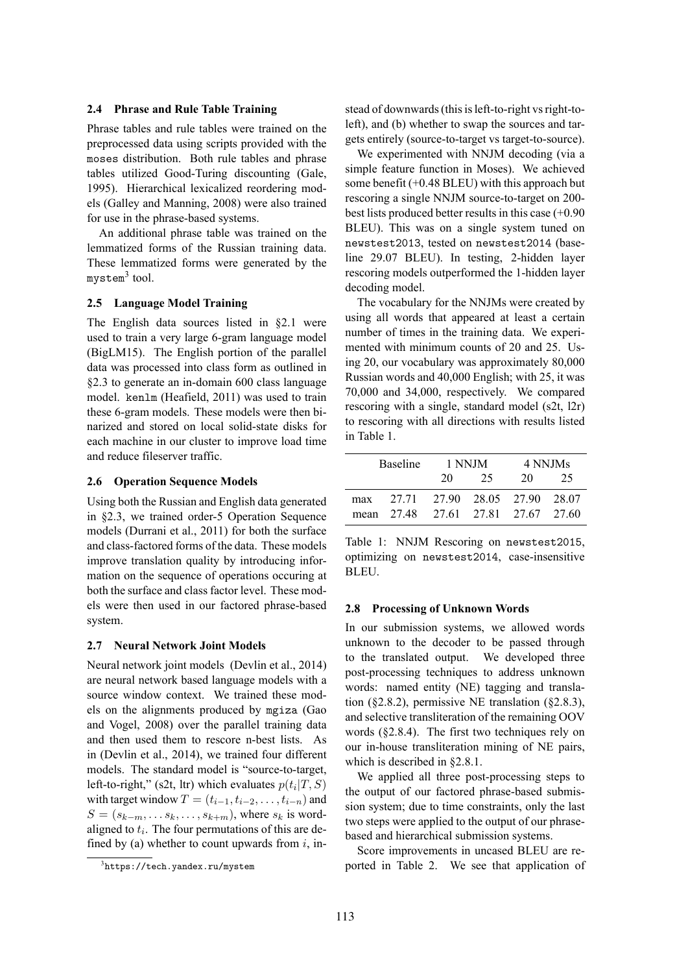#### **2.4 Phrase and Rule Table Training**

Phrase tables and rule tables were trained on the preprocessed data using scripts provided with the moses distribution. Both rule tables and phrase tables utilized Good-Turing discounting (Gale, 1995). Hierarchical lexicalized reordering models (Galley and Manning, 2008) were also trained for use in the phrase-based systems.

An additional phrase table was trained on the lemmatized forms of the Russian training data. These lemmatized forms were generated by the mystem<sup>3</sup> tool.

#### **2.5 Language Model Training**

The English data sources listed in §2.1 were used to train a very large 6-gram language model (BigLM15). The English portion of the parallel data was processed into class form as outlined in §2.3 to generate an in-domain 600 class language model. kenlm (Heafield, 2011) was used to train these 6-gram models. These models were then binarized and stored on local solid-state disks for each machine in our cluster to improve load time and reduce fileserver traffic.

#### **2.6 Operation Sequence Models**

Using both the Russian and English data generated in §2.3, we trained order-5 Operation Sequence models (Durrani et al., 2011) for both the surface and class-factored forms of the data. These models improve translation quality by introducing information on the sequence of operations occuring at both the surface and class factor level. These models were then used in our factored phrase-based system.

#### **2.7 Neural Network Joint Models**

Neural network joint models (Devlin et al., 2014) are neural network based language models with a source window context. We trained these models on the alignments produced by mgiza (Gao and Vogel, 2008) over the parallel training data and then used them to rescore n-best lists. As in (Devlin et al., 2014), we trained four different models. The standard model is "source-to-target, left-to-right," (s2t, ltr) which evaluates  $p(t_i|T, S)$ with target window  $T = (t_{i-1}, t_{i-2}, \ldots, t_{i-n})$  and  $S = (s_{k-m}, \ldots s_k, \ldots, s_{k+m})$ , where  $s_k$  is wordaligned to  $t_i$ . The four permutations of this are defined by (a) whether to count upwards from  $i$ , instead of downwards (this is left-to-right vs right-toleft), and (b) whether to swap the sources and targets entirely (source-to-target vs target-to-source).

We experimented with NNJM decoding (via a simple feature function in Moses). We achieved some benefit  $(+0.48$  BLEU) with this approach but rescoring a single NNJM source-to-target on 200 best lists produced better results in this case (+0.90 BLEU). This was on a single system tuned on newstest2013, tested on newstest2014 (baseline 29.07 BLEU). In testing, 2-hidden layer rescoring models outperformed the 1-hidden layer decoding model.

The vocabulary for the NNJMs were created by using all words that appeared at least a certain number of times in the training data. We experimented with minimum counts of 20 and 25. Using 20, our vocabulary was approximately 80,000 Russian words and 40,000 English; with 25, it was 70,000 and 34,000, respectively. We compared rescoring with a single, standard model (s2t, l2r) to rescoring with all directions with results listed in Table 1.

|     | Baseline                           | 1 NNJM |    | 4 NNJMs |    |
|-----|------------------------------------|--------|----|---------|----|
|     |                                    | 20     | 25 | 20      | 25 |
| max | 27.71 27.90 28.05 27.90 28.07      |        |    |         |    |
|     | mean 27.48 27.61 27.81 27.67 27.60 |        |    |         |    |

Table 1: NNJM Rescoring on newstest2015, optimizing on newstest2014, case-insensitive BLEU.

#### **2.8 Processing of Unknown Words**

In our submission systems, we allowed words unknown to the decoder to be passed through to the translated output. We developed three post-processing techniques to address unknown words: named entity (NE) tagging and translation (§2.8.2), permissive NE translation (§2.8.3), and selective transliteration of the remaining OOV words (§2.8.4). The first two techniques rely on our in-house transliteration mining of NE pairs, which is described in §2.8.1.

We applied all three post-processing steps to the output of our factored phrase-based submission system; due to time constraints, only the last two steps were applied to the output of our phrasebased and hierarchical submission systems.

Score improvements in uncased BLEU are reported in Table 2. We see that application of

 $3$ https://tech.yandex.ru/mystem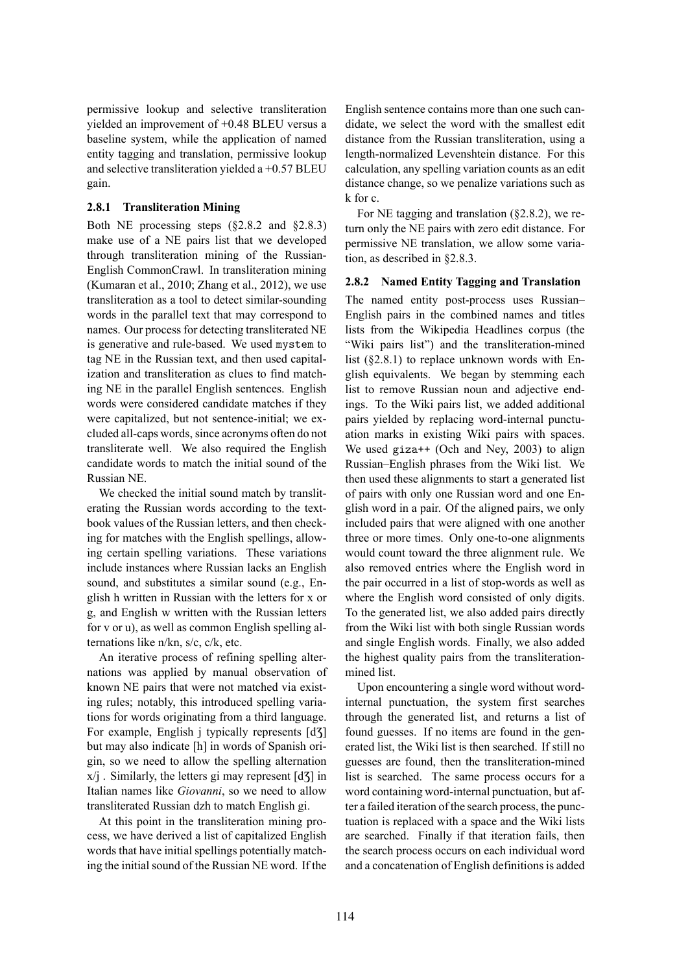permissive lookup and selective transliteration yielded an improvement of +0.48 BLEU versus a baseline system, while the application of named entity tagging and translation, permissive lookup and selective transliteration yielded a  $+0.57$  BLEU gain.

### **2.8.1 Transliteration Mining**

Both NE processing steps (§2.8.2 and §2.8.3) make use of a NE pairs list that we developed through transliteration mining of the Russian-English CommonCrawl. In transliteration mining (Kumaran et al., 2010; Zhang et al., 2012), we use transliteration as a tool to detect similar-sounding words in the parallel text that may correspond to names. Our process for detecting transliterated NE is generative and rule-based. We used mystem to tag NE in the Russian text, and then used capitalization and transliteration as clues to find matching NE in the parallel English sentences. English words were considered candidate matches if they were capitalized, but not sentence-initial; we excluded all-caps words, since acronyms often do not transliterate well. We also required the English candidate words to match the initial sound of the Russian NE.

We checked the initial sound match by transliterating the Russian words according to the textbook values of the Russian letters, and then checking for matches with the English spellings, allowing certain spelling variations. These variations include instances where Russian lacks an English sound, and substitutes a similar sound (e.g., English h written in Russian with the letters for x or g, and English w written with the Russian letters for v or u), as well as common English spelling alternations like n/kn, s/c, c/k, etc.

An iterative process of refining spelling alternations was applied by manual observation of known NE pairs that were not matched via existing rules; notably, this introduced spelling variations for words originating from a third language. For example, English j typically represents [d3] but may also indicate [h] in words of Spanish origin, so we need to allow the spelling alternation  $x/j$ . Similarly, the letters gi may represent  $[d\overline{3}]$  in Italian names like *Giovanni*, so we need to allow transliterated Russian dzh to match English gi.

At this point in the transliteration mining process, we have derived a list of capitalized English words that have initial spellings potentially matching the initial sound of the Russian NE word. If the English sentence contains more than one such candidate, we select the word with the smallest edit distance from the Russian transliteration, using a length-normalized Levenshtein distance. For this calculation, any spelling variation counts as an edit distance change, so we penalize variations such as k for c.

For NE tagging and translation (§2.8.2), we return only the NE pairs with zero edit distance. For permissive NE translation, we allow some variation, as described in §2.8.3.

#### **2.8.2 Named Entity Tagging and Translation**

The named entity post-process uses Russian– English pairs in the combined names and titles lists from the Wikipedia Headlines corpus (the "Wiki pairs list") and the transliteration-mined list (§2.8.1) to replace unknown words with English equivalents. We began by stemming each list to remove Russian noun and adjective endings. To the Wiki pairs list, we added additional pairs yielded by replacing word-internal punctuation marks in existing Wiki pairs with spaces. We used giza++ (Och and Ney, 2003) to align Russian–English phrases from the Wiki list. We then used these alignments to start a generated list of pairs with only one Russian word and one English word in a pair. Of the aligned pairs, we only included pairs that were aligned with one another three or more times. Only one-to-one alignments would count toward the three alignment rule. We also removed entries where the English word in the pair occurred in a list of stop-words as well as where the English word consisted of only digits. To the generated list, we also added pairs directly from the Wiki list with both single Russian words and single English words. Finally, we also added the highest quality pairs from the transliterationmined list.

Upon encountering a single word without wordinternal punctuation, the system first searches through the generated list, and returns a list of found guesses. If no items are found in the generated list, the Wiki list is then searched. If still no guesses are found, then the transliteration-mined list is searched. The same process occurs for a word containing word-internal punctuation, but after a failed iteration of the search process, the punctuation is replaced with a space and the Wiki lists are searched. Finally if that iteration fails, then the search process occurs on each individual word and a concatenation of English definitions is added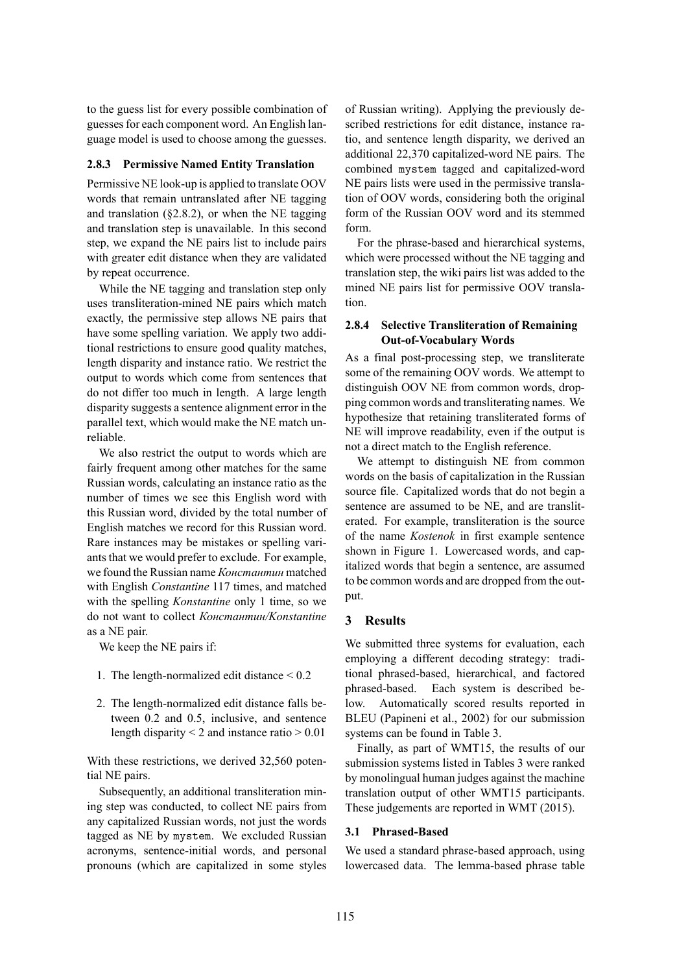to the guess list for every possible combination of guesses for each component word. An English language model is used to choose among the guesses.

#### **2.8.3 Permissive Named Entity Translation**

Permissive NE look-up is applied to translate OOV words that remain untranslated after NE tagging and translation  $(82.8.2)$ , or when the NE tagging and translation step is unavailable. In this second step, we expand the NE pairs list to include pairs with greater edit distance when they are validated by repeat occurrence.

While the NE tagging and translation step only uses transliteration-mined NE pairs which match exactly, the permissive step allows NE pairs that have some spelling variation. We apply two additional restrictions to ensure good quality matches, length disparity and instance ratio. We restrict the output to words which come from sentences that do not differ too much in length. A large length disparity suggests a sentence alignment error in the parallel text, which would make the NE match unreliable.

We also restrict the output to words which are fairly frequent among other matches for the same Russian words, calculating an instance ratio as the number of times we see this English word with this Russian word, divided by the total number of English matches we record for this Russian word. Rare instances may be mistakes or spelling variants that we would prefer to exclude. For example, we found the Russian name *Константин* matched with English *Constantine* 117 times, and matched with the spelling *Konstantine* only 1 time, so we do not want to collect *Константин/Konstantine* as a NE pair.

We keep the NE pairs if:

- 1. The length-normalized edit distance < 0.2
- 2. The length-normalized edit distance falls between 0.2 and 0.5, inclusive, and sentence length disparity  $\leq 2$  and instance ratio  $\geq 0.01$

With these restrictions, we derived 32,560 potential NE pairs.

Subsequently, an additional transliteration mining step was conducted, to collect NE pairs from any capitalized Russian words, not just the words tagged as NE by mystem. We excluded Russian acronyms, sentence-initial words, and personal pronouns (which are capitalized in some styles

of Russian writing). Applying the previously described restrictions for edit distance, instance ratio, and sentence length disparity, we derived an additional 22,370 capitalized-word NE pairs. The combined mystem tagged and capitalized-word NE pairs lists were used in the permissive translation of OOV words, considering both the original form of the Russian OOV word and its stemmed form.

For the phrase-based and hierarchical systems, which were processed without the NE tagging and translation step, the wiki pairs list was added to the mined NE pairs list for permissive OOV translation.

### **2.8.4 Selective Transliteration of Remaining Out-of-Vocabulary Words**

As a final post-processing step, we transliterate some of the remaining OOV words. We attempt to distinguish OOV NE from common words, dropping common words and transliterating names. We hypothesize that retaining transliterated forms of NE will improve readability, even if the output is not a direct match to the English reference.

We attempt to distinguish NE from common words on the basis of capitalization in the Russian source file. Capitalized words that do not begin a sentence are assumed to be NE, and are transliterated. For example, transliteration is the source of the name *Kostenok* in first example sentence shown in Figure 1. Lowercased words, and capitalized words that begin a sentence, are assumed to be common words and are dropped from the output.

### **3 Results**

We submitted three systems for evaluation, each employing a different decoding strategy: traditional phrased-based, hierarchical, and factored phrased-based. Each system is described below. Automatically scored results reported in BLEU (Papineni et al., 2002) for our submission systems can be found in Table 3.

Finally, as part of WMT15, the results of our submission systems listed in Tables 3 were ranked by monolingual human judges against the machine translation output of other WMT15 participants. These judgements are reported in WMT (2015).

#### **3.1 Phrased-Based**

We used a standard phrase-based approach, using lowercased data. The lemma-based phrase table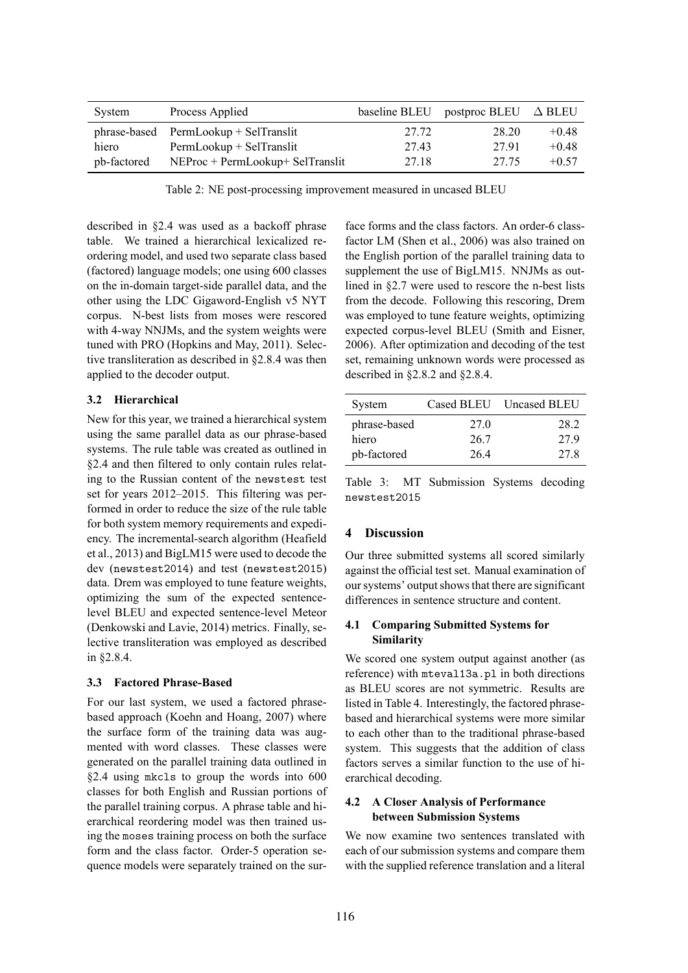| System      | Process Applied                         | baseline BLEU | postproc BLEU $\triangle$ BLEU |         |
|-------------|-----------------------------------------|---------------|--------------------------------|---------|
|             | $phrase-based$ PermLookup + SelTranslit | 27.72         | 28.20                          | $+0.48$ |
| hiero       | PermLookup + SelTranslit                | 27.43         | 2791                           | $+0.48$ |
| pb-factored | $NEProc + PermLookup + Selfranslit$     | 27.18         | 27.75                          | $+0.57$ |

Table 2: NE post-processing improvement measured in uncased BLEU

described in §2.4 was used as a backoff phrase table. We trained a hierarchical lexicalized reordering model, and used two separate class based (factored) language models; one using 600 classes on the in-domain target-side parallel data, and the other using the LDC Gigaword-English v5 NYT corpus. N-best lists from moses were rescored with 4-way NNJMs, and the system weights were tuned with PRO (Hopkins and May, 2011). Selective transliteration as described in §2.8.4 was then applied to the decoder output.

## **3.2 Hierarchical**

New for this year, we trained a hierarchical system using the same parallel data as our phrase-based systems. The rule table was created as outlined in §2.4 and then filtered to only contain rules relating to the Russian content of the newstest test set for years 2012–2015. This filtering was performed in order to reduce the size of the rule table for both system memory requirements and expediency. The incremental-search algorithm (Heafield et al., 2013) and BigLM15 were used to decode the dev (newstest2014) and test (newstest2015) data. Drem was employed to tune feature weights, optimizing the sum of the expected sentencelevel BLEU and expected sentence-level Meteor (Denkowski and Lavie, 2014) metrics. Finally, selective transliteration was employed as described in §2.8.4.

## **3.3 Factored Phrase-Based**

For our last system, we used a factored phrasebased approach (Koehn and Hoang, 2007) where the surface form of the training data was augmented with word classes. These classes were generated on the parallel training data outlined in §2.4 using mkcls to group the words into 600 classes for both English and Russian portions of the parallel training corpus. A phrase table and hierarchical reordering model was then trained using the moses training process on both the surface form and the class factor. Order-5 operation sequence models were separately trained on the sur-

face forms and the class factors. An order-6 classfactor LM (Shen et al., 2006) was also trained on the English portion of the parallel training data to supplement the use of BigLM15. NNJMs as outlined in §2.7 were used to rescore the n-best lists from the decode. Following this rescoring, Drem was employed to tune feature weights, optimizing expected corpus-level BLEU (Smith and Eisner, 2006). After optimization and decoding of the test set, remaining unknown words were processed as described in §2.8.2 and §2.8.4.

| System       |                 | Cased BLEU Uncased BLEU |
|--------------|-----------------|-------------------------|
| phrase-based | 27 <sub>0</sub> | 28.2                    |
| hiero        | 26.7            | 279                     |
| pb-factored  | 264             | 27.8                    |

Table 3: MT Submission Systems decoding newstest2015

# **4 Discussion**

Our three submitted systems all scored similarly against the official test set. Manual examination of our systems' output shows that there are significant differences in sentence structure and content.

## **4.1 Comparing Submitted Systems for Similarity**

We scored one system output against another (as reference) with mteval13a.pl in both directions as BLEU scores are not symmetric. Results are listed in Table 4. Interestingly, the factored phrasebased and hierarchical systems were more similar to each other than to the traditional phrase-based system. This suggests that the addition of class factors serves a similar function to the use of hierarchical decoding.

# **4.2 A Closer Analysis of Performance between Submission Systems**

We now examine two sentences translated with each of our submission systems and compare them with the supplied reference translation and a literal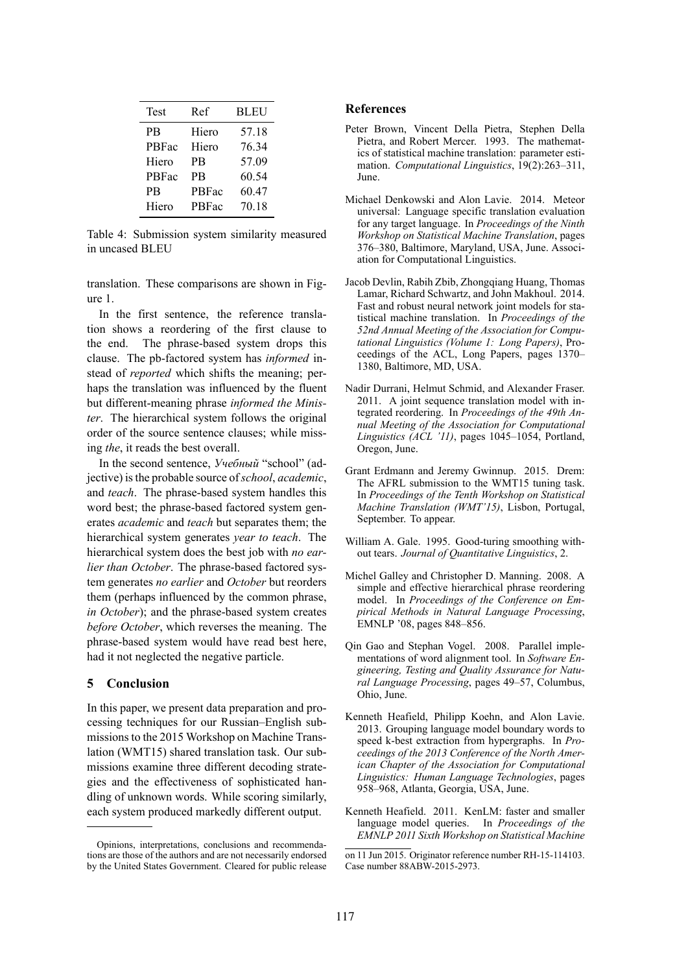| Test      | Ref   | <b>BLEU</b> |
|-----------|-------|-------------|
| <b>PB</b> | Hiero | 57.18       |
| PBFac     | Hiero | 76.34       |
| Hiero     | PB    | 57.09       |
| PBFac     | PR    | 60.54       |
| <b>PB</b> | PBFac | 60.47       |
| Hiero     | PBFac | 70.18       |

Table 4: Submission system similarity measured in uncased BLEU

translation. These comparisons are shown in Figure 1.

In the first sentence, the reference translation shows a reordering of the first clause to the end. The phrase-based system drops this clause. The pb-factored system has *informed* instead of *reported* which shifts the meaning; perhaps the translation was influenced by the fluent but different-meaning phrase *informed the Minister*. The hierarchical system follows the original order of the source sentence clauses; while missing *the*, it reads the best overall.

In the second sentence, *Учебный* "school" (adjective) is the probable source of*school*, *academic*, and *teach*. The phrase-based system handles this word best; the phrase-based factored system generates *academic* and *teach* but separates them; the hierarchical system generates *year to teach*. The hierarchical system does the best job with *no earlier than October*. The phrase-based factored system generates *no earlier* and *October* but reorders them (perhaps influenced by the common phrase, *in October*); and the phrase-based system creates *before October*, which reverses the meaning. The phrase-based system would have read best here, had it not neglected the negative particle.

#### **5 Conclusion**

In this paper, we present data preparation and processing techniques for our Russian–English submissions to the 2015 Workshop on Machine Translation (WMT15) shared translation task. Our submissions examine three different decoding strategies and the effectiveness of sophisticated handling of unknown words. While scoring similarly, each system produced markedly different output.

#### **References**

- Peter Brown, Vincent Della Pietra, Stephen Della Pietra, and Robert Mercer. 1993. The mathematics of statistical machine translation: parameter estimation. *Computational Linguistics*, 19(2):263–311, June.
- Michael Denkowski and Alon Lavie. 2014. Meteor universal: Language specific translation evaluation for any target language. In *Proceedings of the Ninth Workshop on Statistical Machine Translation*, pages 376–380, Baltimore, Maryland, USA, June. Association for Computational Linguistics.
- Jacob Devlin, Rabih Zbib, Zhongqiang Huang, Thomas Lamar, Richard Schwartz, and John Makhoul. 2014. Fast and robust neural network joint models for statistical machine translation. In *Proceedings of the 52nd Annual Meeting of the Association for Computational Linguistics (Volume 1: Long Papers)*, Proceedings of the ACL, Long Papers, pages 1370– 1380, Baltimore, MD, USA.
- Nadir Durrani, Helmut Schmid, and Alexander Fraser. 2011. A joint sequence translation model with integrated reordering. In *Proceedings of the 49th Annual Meeting of the Association for Computational Linguistics (ACL '11)*, pages 1045–1054, Portland, Oregon, June.
- Grant Erdmann and Jeremy Gwinnup. 2015. Drem: The AFRL submission to the WMT15 tuning task. In *Proceedings of the Tenth Workshop on Statistical Machine Translation (WMT'15)*, Lisbon, Portugal, September. To appear.
- William A. Gale. 1995. Good-turing smoothing without tears. *Journal of Quantitative Linguistics*, 2.
- Michel Galley and Christopher D. Manning. 2008. A simple and effective hierarchical phrase reordering model. In *Proceedings of the Conference on Empirical Methods in Natural Language Processing*, EMNLP '08, pages 848–856.
- Qin Gao and Stephan Vogel. 2008. Parallel implementations of word alignment tool. In *Software Engineering, Testing and Quality Assurance for Natural Language Processing*, pages 49–57, Columbus, Ohio, June.
- Kenneth Heafield, Philipp Koehn, and Alon Lavie. 2013. Grouping language model boundary words to speed k-best extraction from hypergraphs. In *Proceedings of the 2013 Conference of the North American Chapter of the Association for Computational Linguistics: Human Language Technologies*, pages 958–968, Atlanta, Georgia, USA, June.
- Kenneth Heafield. 2011. KenLM: faster and smaller language model queries. In *Proceedings of the EMNLP 2011 Sixth Workshop on Statistical Machine*

Opinions, interpretations, conclusions and recommendations are those of the authors and are not necessarily endorsed by the United States Government. Cleared for public release

on 11 Jun 2015. Originator reference number RH-15-114103. Case number 88ABW-2015-2973.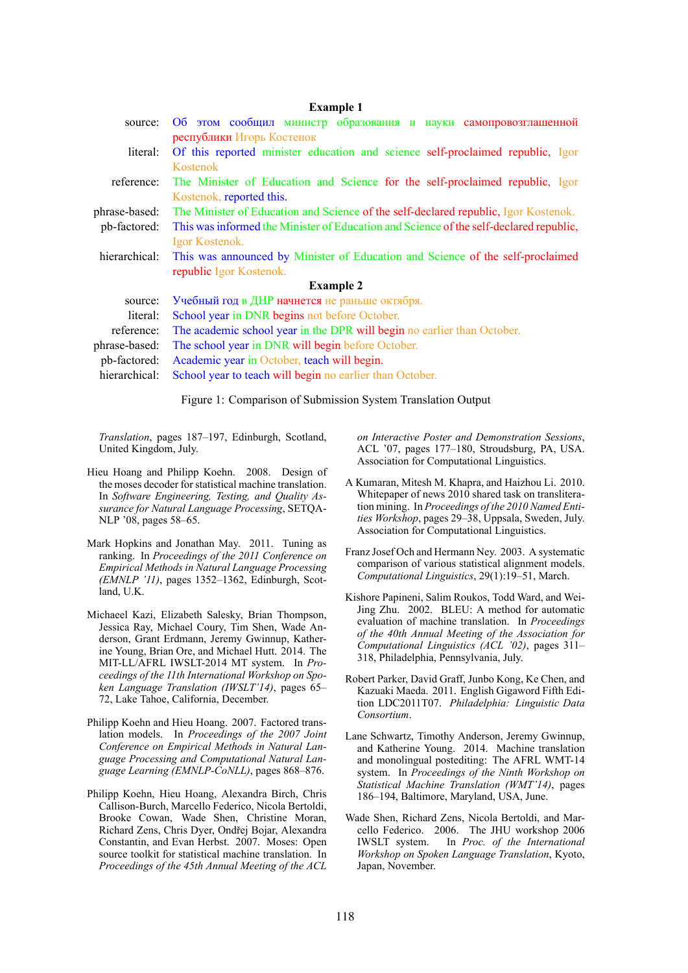|               | <b>Example 1</b>                                                                       |  |  |  |
|---------------|----------------------------------------------------------------------------------------|--|--|--|
| source:       | Об этом сообщил министр образования и науки самопровозглашенной                        |  |  |  |
|               | республики Игорь Костенок                                                              |  |  |  |
| literal:      | Of this reported minister education and science self-proclaimed republic, Igor         |  |  |  |
|               | Kostenok                                                                               |  |  |  |
| reference:    | The Minister of Education and Science for the self-proclaimed republic, Igor           |  |  |  |
|               | Kostenok, reported this.                                                               |  |  |  |
| phrase-based: | The Minister of Education and Science of the self-declared republic, Igor Kostenok.    |  |  |  |
| pb-factored:  | This was informed the Minister of Education and Science of the self-declared republic, |  |  |  |
|               | Igor Kostenok.                                                                         |  |  |  |
| hierarchical: | This was announced by Minister of Education and Science of the self-proclaimed         |  |  |  |
|               | republic Igor Kostenok.                                                                |  |  |  |
|               | <b>Example 2</b>                                                                       |  |  |  |
| source:       | Учебный год в ДНР начнется не раньше октября.                                          |  |  |  |
| literal:      | School year in DNR begins not before October.                                          |  |  |  |
| reference:    | The academic school year in the DPR will begin no earlier than October.                |  |  |  |
| phrase-based: | The school year in DNR will begin before October.                                      |  |  |  |
| pb-factored:  | Academic year in October, teach will begin.                                            |  |  |  |
| hierarchical: | School year to teach will begin no earlier than October.                               |  |  |  |
|               |                                                                                        |  |  |  |

Figure 1: Comparison of Submission System Translation Output

*Translation*, pages 187–197, Edinburgh, Scotland, United Kingdom, July.

- Hieu Hoang and Philipp Koehn. 2008. Design of the moses decoder for statistical machine translation. In *Software Engineering, Testing, and Quality Assurance for Natural Language Processing*, SETQA-NLP '08, pages 58–65.
- Mark Hopkins and Jonathan May. 2011. Tuning as ranking. In *Proceedings of the 2011 Conference on Empirical Methods in Natural Language Processing (EMNLP '11)*, pages 1352–1362, Edinburgh, Scotland, U.K.
- Michaeel Kazi, Elizabeth Salesky, Brian Thompson, Jessica Ray, Michael Coury, Tim Shen, Wade Anderson, Grant Erdmann, Jeremy Gwinnup, Katherine Young, Brian Ore, and Michael Hutt. 2014. The MIT-LL/AFRL IWSLT-2014 MT system. In *Proceedings of the 11th International Workshop on Spoken Language Translation (IWSLT'14)*, pages 65– 72, Lake Tahoe, California, December.
- Philipp Koehn and Hieu Hoang. 2007. Factored translation models. In *Proceedings of the 2007 Joint Conference on Empirical Methods in Natural Language Processing and Computational Natural Language Learning (EMNLP-CoNLL)*, pages 868–876.
- Philipp Koehn, Hieu Hoang, Alexandra Birch, Chris Callison-Burch, Marcello Federico, Nicola Bertoldi, Brooke Cowan, Wade Shen, Christine Moran, Richard Zens, Chris Dyer, Ondřej Bojar, Alexandra Constantin, and Evan Herbst. 2007. Moses: Open source toolkit for statistical machine translation. In *Proceedings of the 45th Annual Meeting of the ACL*

*on Interactive Poster and Demonstration Sessions*, ACL '07, pages 177–180, Stroudsburg, PA, USA. Association for Computational Linguistics.

- A Kumaran, Mitesh M. Khapra, and Haizhou Li. 2010. Whitepaper of news 2010 shared task on transliteration mining. In *Proceedings of the 2010 Named Entities Workshop*, pages 29–38, Uppsala, Sweden, July. Association for Computational Linguistics.
- Franz Josef Och and Hermann Ney. 2003. A systematic comparison of various statistical alignment models. *Computational Linguistics*, 29(1):19–51, March.
- Kishore Papineni, Salim Roukos, Todd Ward, and Wei-Jing Zhu. 2002. BLEU: A method for automatic evaluation of machine translation. In *Proceedings of the 40th Annual Meeting of the Association for Computational Linguistics (ACL '02)*, pages 311– 318, Philadelphia, Pennsylvania, July.
- Robert Parker, David Graff, Junbo Kong, Ke Chen, and Kazuaki Maeda. 2011. English Gigaword Fifth Edition LDC2011T07. *Philadelphia: Linguistic Data Consortium*.
- Lane Schwartz, Timothy Anderson, Jeremy Gwinnup, and Katherine Young. 2014. Machine translation and monolingual postediting: The AFRL WMT-14 system. In *Proceedings of the Ninth Workshop on Statistical Machine Translation (WMT'14)*, pages 186–194, Baltimore, Maryland, USA, June.
- Wade Shen, Richard Zens, Nicola Bertoldi, and Marcello Federico. 2006. The JHU workshop 2006 IWSLT system. In *Proc. of the International Workshop on Spoken Language Translation*, Kyoto, Japan, November.